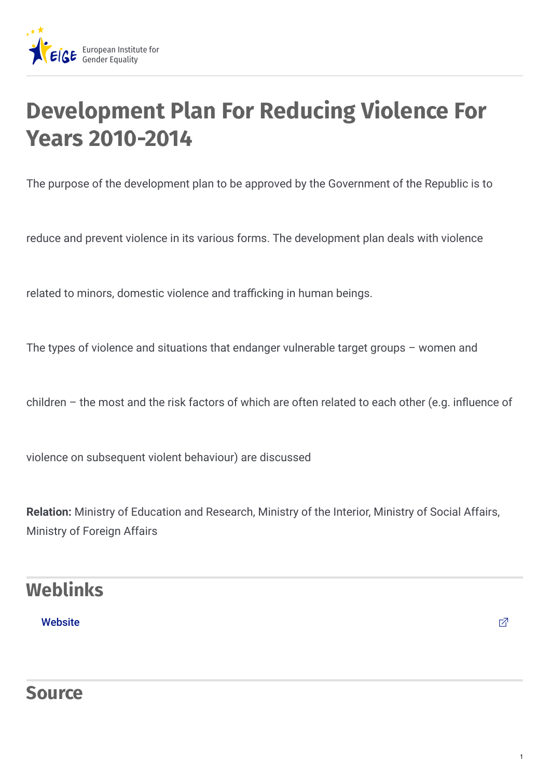

# **Development Plan For Reducing Violence For Years 2010-2014**

The purpose of the development plan to be approved by the Government of the Republic is to

reduce and prevent violence in its various forms. The development plan deals with violence

related to minors, domestic violence and trafficking in human beings.

The types of violence and situations that endanger vulnerable target groups – women and

children – the most and the risk factors of which are often related to each other (e.g. influence of

violence on subsequent violent behaviour) are discussed

**Relation:** Ministry of Education and Research, Ministry of the Interior, Ministry of Social Affairs, Ministry of Foreign Affairs

## **Weblinks**

#### [Website](http://valitsus.ee/en)  $\Box$

### **Source**

1